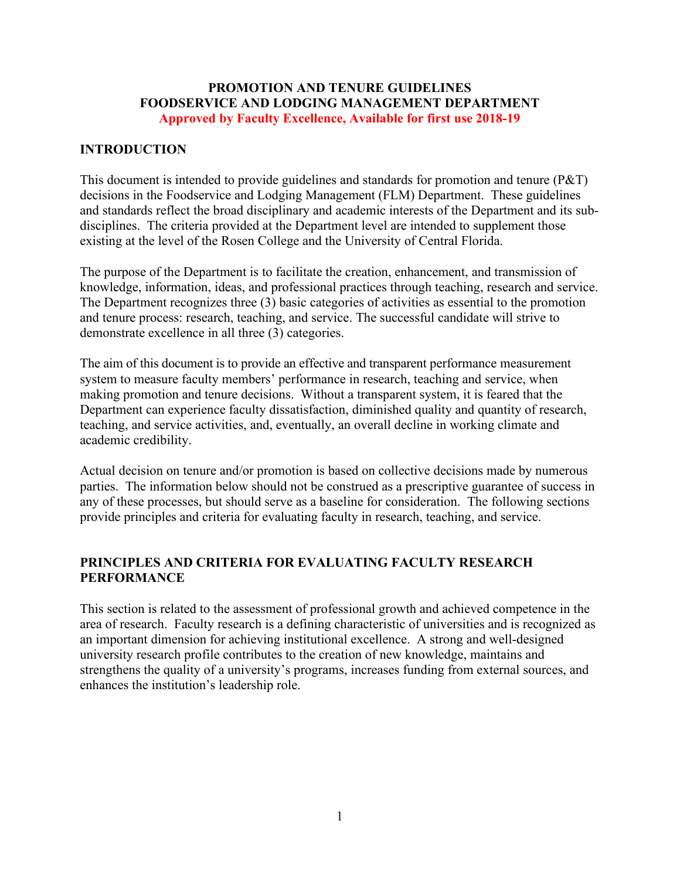#### **PROMOTION AND TENURE GUIDELINES FOODSERVICE AND LODGING MANAGEMENT DEPARTMENT Approved by Faculty Excellence, Available for first use 2018-19**

## **INTRODUCTION**

This document is intended to provide guidelines and standards for promotion and tenure (P&T) decisions in the Foodservice and Lodging Management (FLM) Department. These guidelines and standards reflect the broad disciplinary and academic interests of the Department and its subdisciplines. The criteria provided at the Department level are intended to supplement those existing at the level of the Rosen College and the University of Central Florida.

The purpose of the Department is to facilitate the creation, enhancement, and transmission of knowledge, information, ideas, and professional practices through teaching, research and service. The Department recognizes three (3) basic categories of activities as essential to the promotion and tenure process: research, teaching, and service. The successful candidate will strive to demonstrate excellence in all three (3) categories.

The aim of this document is to provide an effective and transparent performance measurement system to measure faculty members' performance in research, teaching and service, when making promotion and tenure decisions. Without a transparent system, it is feared that the Department can experience faculty dissatisfaction, diminished quality and quantity of research, teaching, and service activities, and, eventually, an overall decline in working climate and academic credibility.

Actual decision on tenure and/or promotion is based on collective decisions made by numerous parties. The information below should not be construed as a prescriptive guarantee of success in any of these processes, but should serve as a baseline for consideration. The following sections provide principles and criteria for evaluating faculty in research, teaching, and service.

## **PRINCIPLES AND CRITERIA FOR EVALUATING FACULTY RESEARCH PERFORMANCE**

This section is related to the assessment of professional growth and achieved competence in the area of research. Faculty research is a defining characteristic of universities and is recognized as an important dimension for achieving institutional excellence. A strong and well-designed university research profile contributes to the creation of new knowledge, maintains and strengthens the quality of a university's programs, increases funding from external sources, and enhances the institution's leadership role.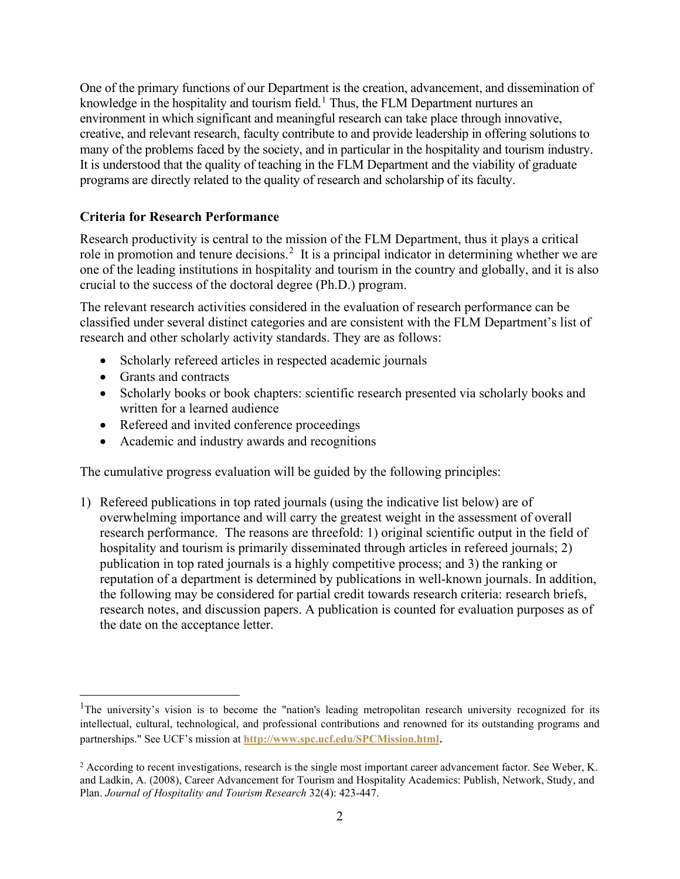One of the primary functions of our Department is the creation, advancement, and dissemination of knowledge in the hospitality and tourism field.<sup>[1](#page-1-0)</sup> Thus, the FLM Department nurtures an environment in which significant and meaningful research can take place through innovative, creative, and relevant research, faculty contribute to and provide leadership in offering solutions to many of the problems faced by the society, and in particular in the hospitality and tourism industry. It is understood that the quality of teaching in the FLM Department and the viability of graduate programs are directly related to the quality of research and scholarship of its faculty.

## **Criteria for Research Performance**

Research productivity is central to the mission of the FLM Department, thus it plays a critical role in promotion and tenure decisions.<sup>[2](#page-1-1)</sup> It is a principal indicator in determining whether we are one of the leading institutions in hospitality and tourism in the country and globally, and it is also crucial to the success of the doctoral degree (Ph.D.) program.

The relevant research activities considered in the evaluation of research performance can be classified under several distinct categories and are consistent with the FLM Department's list of research and other scholarly activity standards. They are as follows:

- Scholarly refereed articles in respected academic journals
- Grants and contracts
- Scholarly books or book chapters: scientific research presented via scholarly books and written for a learned audience
- Refereed and invited conference proceedings
- Academic and industry awards and recognitions

The cumulative progress evaluation will be guided by the following principles:

1) Refereed publications in top rated journals (using the indicative list below) are of overwhelming importance and will carry the greatest weight in the assessment of overall research performance. The reasons are threefold: 1) original scientific output in the field of hospitality and tourism is primarily disseminated through articles in refereed journals; 2) publication in top rated journals is a highly competitive process; and 3) the ranking or reputation of a department is determined by publications in well-known journals. In addition, the following may be considered for partial credit towards research criteria: research briefs, research notes, and discussion papers. A publication is counted for evaluation purposes as of the date on the acceptance letter.

<span id="page-1-0"></span><sup>&</sup>lt;sup>1</sup>The university's vision is to become the "nation's leading metropolitan research university recognized for its intellectual, cultural, technological, and professional contributions and renowned for its outstanding programs and partnerships." See UCF's mission at **<http://www.spc.ucf.edu/SPCMission.html>**.

<span id="page-1-1"></span> $2$  According to recent investigations, research is the single most important career advancement factor. See Weber, K. and Ladkin, A. (2008), Career Advancement for Tourism and Hospitality Academics: Publish, Network, Study, and Plan. *Journal of Hospitality and Tourism Research* 32(4): 423-447.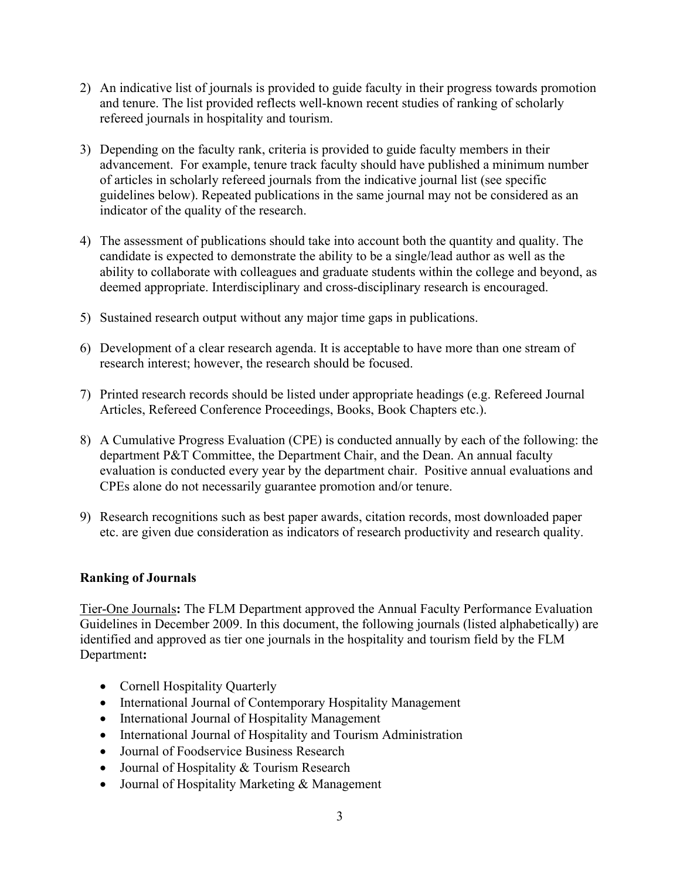- 2) An indicative list of journals is provided to guide faculty in their progress towards promotion and tenure. The list provided reflects well-known recent studies of ranking of scholarly refereed journals in hospitality and tourism.
- 3) Depending on the faculty rank, criteria is provided to guide faculty members in their advancement. For example, tenure track faculty should have published a minimum number of articles in scholarly refereed journals from the indicative journal list (see specific guidelines below). Repeated publications in the same journal may not be considered as an indicator of the quality of the research.
- 4) The assessment of publications should take into account both the quantity and quality. The candidate is expected to demonstrate the ability to be a single/lead author as well as the ability to collaborate with colleagues and graduate students within the college and beyond, as deemed appropriate. Interdisciplinary and cross-disciplinary research is encouraged.
- 5) Sustained research output without any major time gaps in publications.
- 6) Development of a clear research agenda. It is acceptable to have more than one stream of research interest; however, the research should be focused.
- 7) Printed research records should be listed under appropriate headings (e.g. Refereed Journal Articles, Refereed Conference Proceedings, Books, Book Chapters etc.).
- 8) A Cumulative Progress Evaluation (CPE) is conducted annually by each of the following: the department P&T Committee, the Department Chair, and the Dean. An annual faculty evaluation is conducted every year by the department chair. Positive annual evaluations and CPEs alone do not necessarily guarantee promotion and/or tenure.
- 9) Research recognitions such as best paper awards, citation records, most downloaded paper etc. are given due consideration as indicators of research productivity and research quality.

#### **Ranking of Journals**

Tier-One Journals**:** The FLM Department approved the Annual Faculty Performance Evaluation Guidelines in December 2009. In this document, the following journals (listed alphabetically) are identified and approved as tier one journals in the hospitality and tourism field by the FLM Department**:**

- Cornell Hospitality Quarterly
- International Journal of Contemporary Hospitality Management
- International Journal of Hospitality Management
- International Journal of Hospitality and Tourism Administration
- Journal of Foodservice Business Research
- Journal of Hospitality & Tourism Research
- Journal of Hospitality Marketing & Management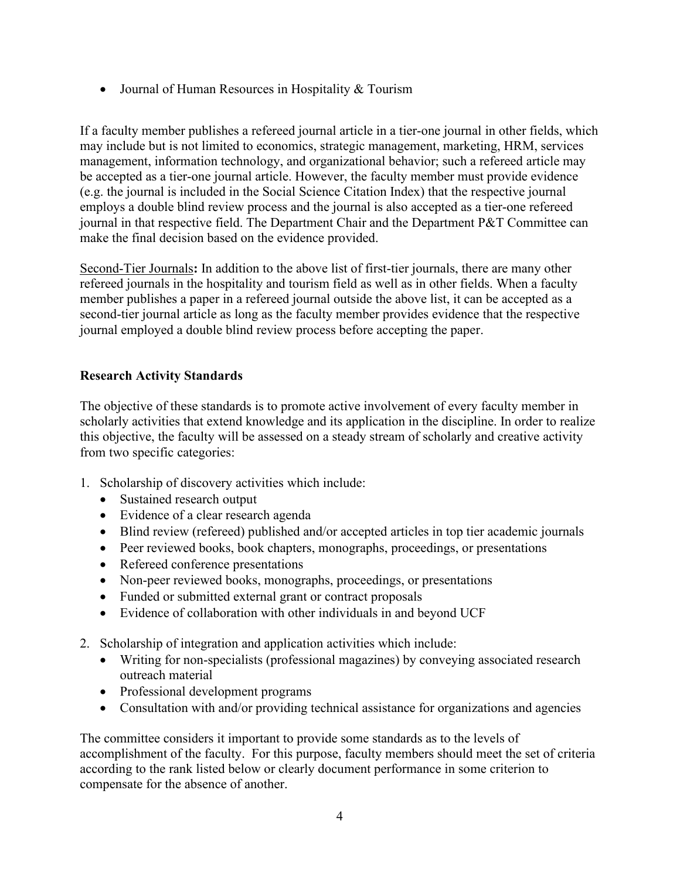• Journal of Human Resources in Hospitality & Tourism

If a faculty member publishes a refereed journal article in a tier-one journal in other fields, which may include but is not limited to economics, strategic management, marketing, HRM, services management, information technology, and organizational behavior; such a refereed article may be accepted as a tier-one journal article. However, the faculty member must provide evidence (e.g. the journal is included in the Social Science Citation Index) that the respective journal employs a double blind review process and the journal is also accepted as a tier-one refereed journal in that respective field. The Department Chair and the Department P&T Committee can make the final decision based on the evidence provided.

Second-Tier Journals**:** In addition to the above list of first-tier journals, there are many other refereed journals in the hospitality and tourism field as well as in other fields. When a faculty member publishes a paper in a refereed journal outside the above list, it can be accepted as a second-tier journal article as long as the faculty member provides evidence that the respective journal employed a double blind review process before accepting the paper.

## **Research Activity Standards**

The objective of these standards is to promote active involvement of every faculty member in scholarly activities that extend knowledge and its application in the discipline. In order to realize this objective, the faculty will be assessed on a steady stream of scholarly and creative activity from two specific categories:

- 1. Scholarship of discovery activities which include:
	- Sustained research output
	- Evidence of a clear research agenda
	- Blind review (refereed) published and/or accepted articles in top tier academic journals
	- Peer reviewed books, book chapters, monographs, proceedings, or presentations
	- Refereed conference presentations
	- Non-peer reviewed books, monographs, proceedings, or presentations
	- Funded or submitted external grant or contract proposals
	- Evidence of collaboration with other individuals in and beyond UCF
- 2. Scholarship of integration and application activities which include:
	- Writing for non-specialists (professional magazines) by conveying associated research outreach material
	- Professional development programs
	- Consultation with and/or providing technical assistance for organizations and agencies

The committee considers it important to provide some standards as to the levels of accomplishment of the faculty. For this purpose, faculty members should meet the set of criteria according to the rank listed below or clearly document performance in some criterion to compensate for the absence of another.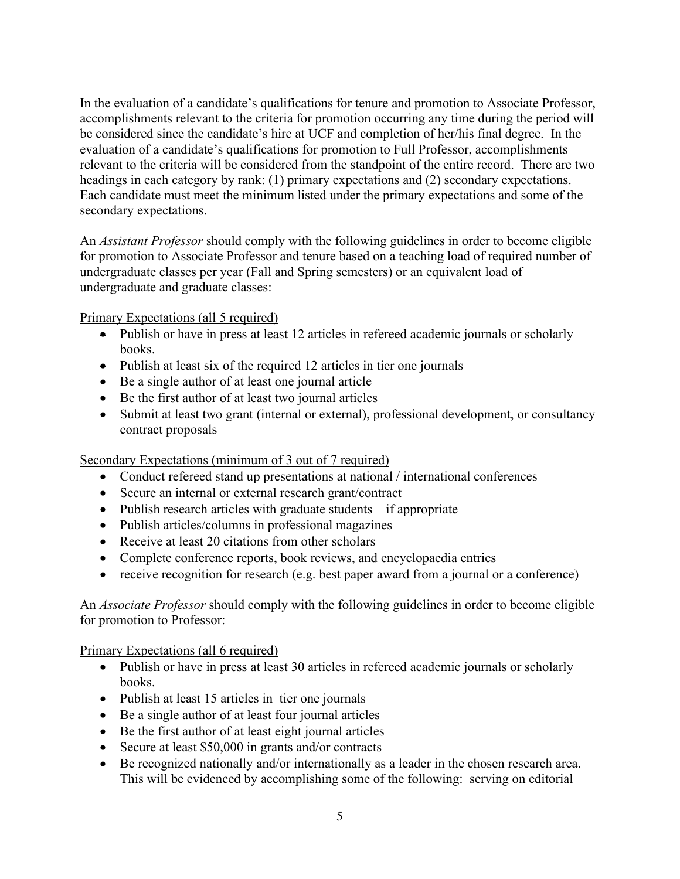In the evaluation of a candidate's qualifications for tenure and promotion to Associate Professor, accomplishments relevant to the criteria for promotion occurring any time during the period will be considered since the candidate's hire at UCF and completion of her/his final degree. In the evaluation of a candidate's qualifications for promotion to Full Professor, accomplishments relevant to the criteria will be considered from the standpoint of the entire record. There are two headings in each category by rank: (1) primary expectations and (2) secondary expectations. Each candidate must meet the minimum listed under the primary expectations and some of the secondary expectations.

An *Assistant Professor* should comply with the following guidelines in order to become eligible for promotion to Associate Professor and tenure based on a teaching load of required number of undergraduate classes per year (Fall and Spring semesters) or an equivalent load of undergraduate and graduate classes:

Primary Expectations (all 5 required)

- Publish or have in press at least 12 articles in refereed academic journals or scholarly books.
- Publish at least six of the required 12 articles in tier one journals
- Be a single author of at least one journal article
- Be the first author of at least two journal articles
- Submit at least two grant (internal or external), professional development, or consultancy contract proposals

Secondary Expectations (minimum of 3 out of 7 required)

- Conduct refereed stand up presentations at national / international conferences
- Secure an internal or external research grant/contract
- Publish research articles with graduate students if appropriate
- Publish articles/columns in professional magazines
- Receive at least 20 citations from other scholars
- Complete conference reports, book reviews, and encyclopaedia entries
- receive recognition for research (e.g. best paper award from a journal or a conference)

An *Associate Professor* should comply with the following guidelines in order to become eligible for promotion to Professor:

Primary Expectations (all 6 required)

- Publish or have in press at least 30 articles in refereed academic journals or scholarly books.
- Publish at least 15 articles in tier one journals
- Be a single author of at least four journal articles
- Be the first author of at least eight journal articles
- Secure at least \$50,000 in grants and/or contracts
- Be recognized nationally and/or internationally as a leader in the chosen research area. This will be evidenced by accomplishing some of the following: serving on editorial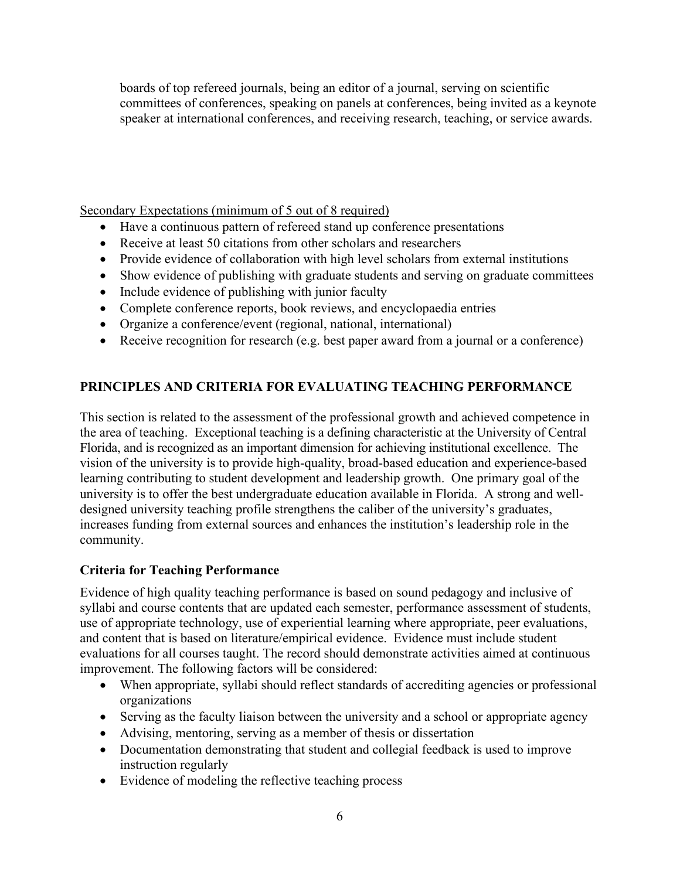boards of top refereed journals, being an editor of a journal, serving on scientific committees of conferences, speaking on panels at conferences, being invited as a keynote speaker at international conferences, and receiving research, teaching, or service awards.

Secondary Expectations (minimum of 5 out of 8 required)

- Have a continuous pattern of refereed stand up conference presentations
- Receive at least 50 citations from other scholars and researchers
- Provide evidence of collaboration with high level scholars from external institutions
- Show evidence of publishing with graduate students and serving on graduate committees
- Include evidence of publishing with junior faculty
- Complete conference reports, book reviews, and encyclopaedia entries
- Organize a conference/event (regional, national, international)
- Receive recognition for research (e.g. best paper award from a journal or a conference)

## **PRINCIPLES AND CRITERIA FOR EVALUATING TEACHING PERFORMANCE**

This section is related to the assessment of the professional growth and achieved competence in the area of teaching. Exceptional teaching is a defining characteristic at the University of Central Florida, and is recognized as an important dimension for achieving institutional excellence. The vision of the university is to provide high-quality, broad-based education and experience-based learning contributing to student development and leadership growth. One primary goal of the university is to offer the best undergraduate education available in Florida. A strong and welldesigned university teaching profile strengthens the caliber of the university's graduates, increases funding from external sources and enhances the institution's leadership role in the community.

## **Criteria for Teaching Performance**

Evidence of high quality teaching performance is based on sound pedagogy and inclusive of syllabi and course contents that are updated each semester, performance assessment of students, use of appropriate technology, use of experiential learning where appropriate, peer evaluations, and content that is based on literature/empirical evidence. Evidence must include student evaluations for all courses taught. The record should demonstrate activities aimed at continuous improvement. The following factors will be considered:

- When appropriate, syllabi should reflect standards of accrediting agencies or professional organizations
- Serving as the faculty liaison between the university and a school or appropriate agency
- Advising, mentoring, serving as a member of thesis or dissertation
- Documentation demonstrating that student and collegial feedback is used to improve instruction regularly
- Evidence of modeling the reflective teaching process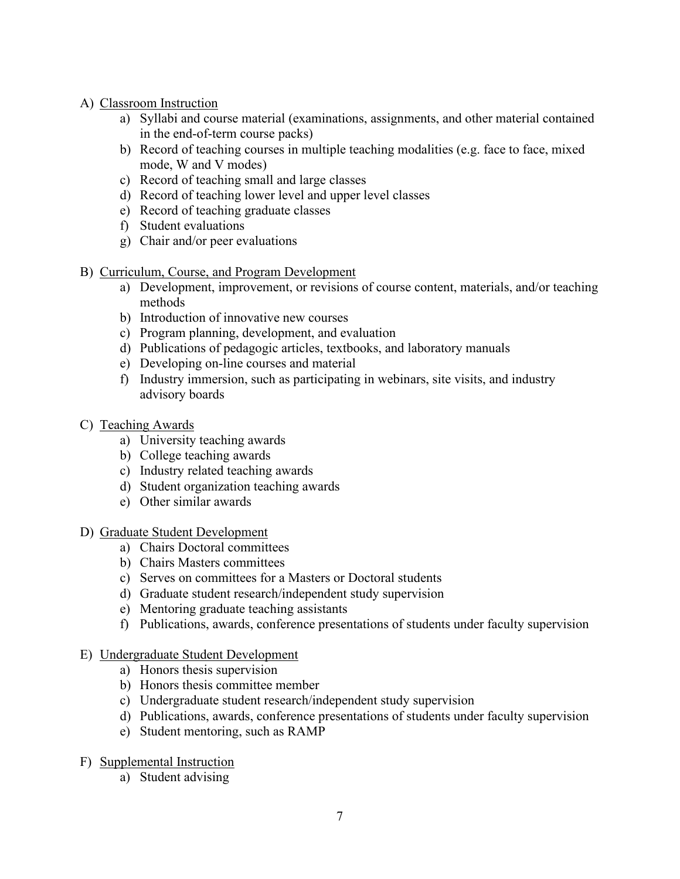- A) Classroom Instruction
	- a) Syllabi and course material (examinations, assignments, and other material contained in the end-of-term course packs)
	- b) Record of teaching courses in multiple teaching modalities (e.g. face to face, mixed mode, W and V modes)
	- c) Record of teaching small and large classes
	- d) Record of teaching lower level and upper level classes
	- e) Record of teaching graduate classes
	- f) Student evaluations
	- g) Chair and/or peer evaluations
- B) Curriculum, Course, and Program Development
	- a) Development, improvement, or revisions of course content, materials, and/or teaching methods
	- b) Introduction of innovative new courses
	- c) Program planning, development, and evaluation
	- d) Publications of pedagogic articles, textbooks, and laboratory manuals
	- e) Developing on-line courses and material
	- f) Industry immersion, such as participating in webinars, site visits, and industry advisory boards
- C) Teaching Awards
	- a) University teaching awards
	- b) College teaching awards
	- c) Industry related teaching awards
	- d) Student organization teaching awards
	- e) Other similar awards
- D) Graduate Student Development
	- a) Chairs Doctoral committees
	- b) Chairs Masters committees
	- c) Serves on committees for a Masters or Doctoral students
	- d) Graduate student research/independent study supervision
	- e) Mentoring graduate teaching assistants
	- f) Publications, awards, conference presentations of students under faculty supervision
- E) Undergraduate Student Development
	- a) Honors thesis supervision
	- b) Honors thesis committee member
	- c) Undergraduate student research/independent study supervision
	- d) Publications, awards, conference presentations of students under faculty supervision
	- e) Student mentoring, such as RAMP
- F) Supplemental Instruction
	- a) Student advising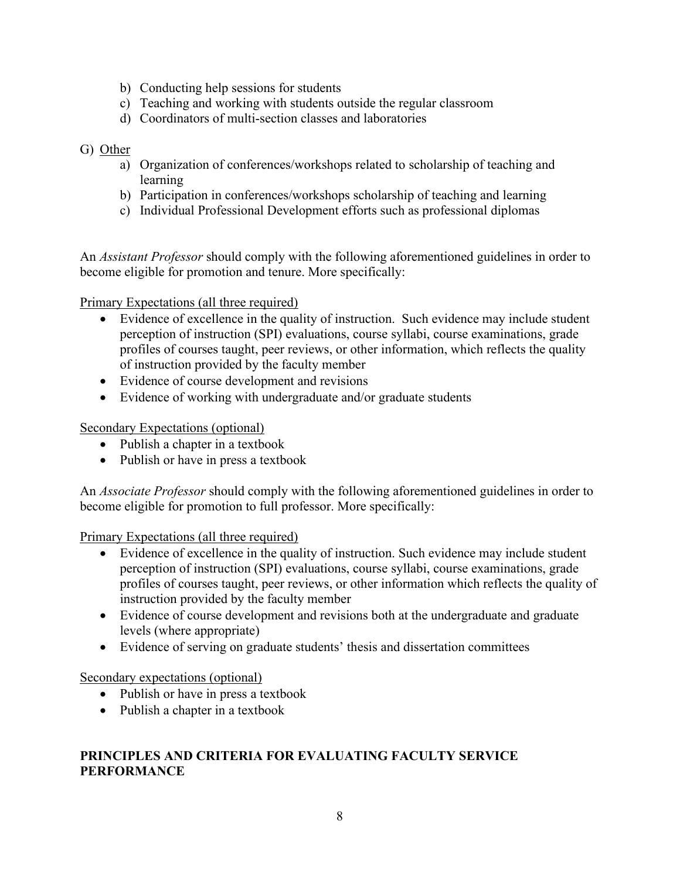- b) Conducting help sessions for students
- c) Teaching and working with students outside the regular classroom
- d) Coordinators of multi-section classes and laboratories

## G) Other

- a) Organization of conferences/workshops related to scholarship of teaching and learning
- b) Participation in conferences/workshops scholarship of teaching and learning
- c) Individual Professional Development efforts such as professional diplomas

An *Assistant Professor* should comply with the following aforementioned guidelines in order to become eligible for promotion and tenure. More specifically:

Primary Expectations (all three required)

- Evidence of excellence in the quality of instruction. Such evidence may include student perception of instruction (SPI) evaluations, course syllabi, course examinations, grade profiles of courses taught, peer reviews, or other information, which reflects the quality of instruction provided by the faculty member
- Evidence of course development and revisions
- Evidence of working with undergraduate and/or graduate students

Secondary Expectations (optional)

- Publish a chapter in a textbook
- Publish or have in press a textbook

An *Associate Professor* should comply with the following aforementioned guidelines in order to become eligible for promotion to full professor. More specifically:

Primary Expectations (all three required)

- Evidence of excellence in the quality of instruction. Such evidence may include student perception of instruction (SPI) evaluations, course syllabi, course examinations, grade profiles of courses taught, peer reviews, or other information which reflects the quality of instruction provided by the faculty member
- Evidence of course development and revisions both at the undergraduate and graduate levels (where appropriate)
- Evidence of serving on graduate students' thesis and dissertation committees

Secondary expectations (optional)

- Publish or have in press a textbook
- Publish a chapter in a textbook

# **PRINCIPLES AND CRITERIA FOR EVALUATING FACULTY SERVICE PERFORMANCE**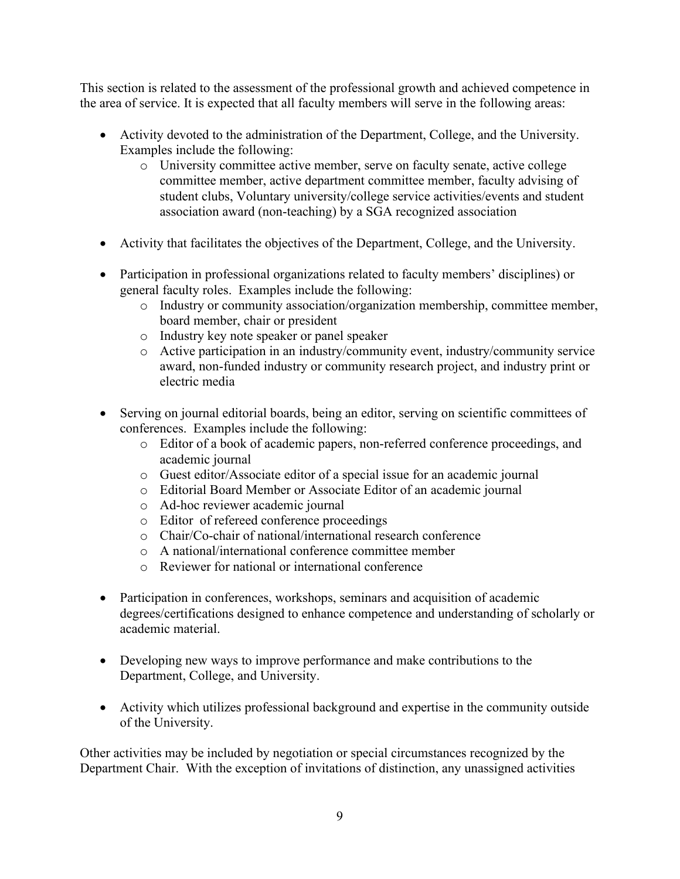This section is related to the assessment of the professional growth and achieved competence in the area of service. It is expected that all faculty members will serve in the following areas:

- Activity devoted to the administration of the Department, College, and the University. Examples include the following:
	- o University committee active member, serve on faculty senate, active college committee member, active department committee member, faculty advising of student clubs, Voluntary university/college service activities/events and student association award (non-teaching) by a SGA recognized association
- Activity that facilitates the objectives of the Department, College, and the University.
- Participation in professional organizations related to faculty members' disciplines) or general faculty roles. Examples include the following:
	- o Industry or community association/organization membership, committee member, board member, chair or president
	- o Industry key note speaker or panel speaker
	- o Active participation in an industry/community event, industry/community service award, non-funded industry or community research project, and industry print or electric media
- Serving on journal editorial boards, being an editor, serving on scientific committees of conferences. Examples include the following:
	- o Editor of a book of academic papers, non-referred conference proceedings, and academic journal
	- o Guest editor/Associate editor of a special issue for an academic journal
	- o Editorial Board Member or Associate Editor of an academic journal
	- o Ad-hoc reviewer academic journal
	- o Editor of refereed conference proceedings
	- o Chair/Co-chair of national/international research conference
	- o A national/international conference committee member
	- o Reviewer for national or international conference
- Participation in conferences, workshops, seminars and acquisition of academic degrees/certifications designed to enhance competence and understanding of scholarly or academic material.
- Developing new ways to improve performance and make contributions to the Department, College, and University.
- Activity which utilizes professional background and expertise in the community outside of the University.

Other activities may be included by negotiation or special circumstances recognized by the Department Chair. With the exception of invitations of distinction, any unassigned activities